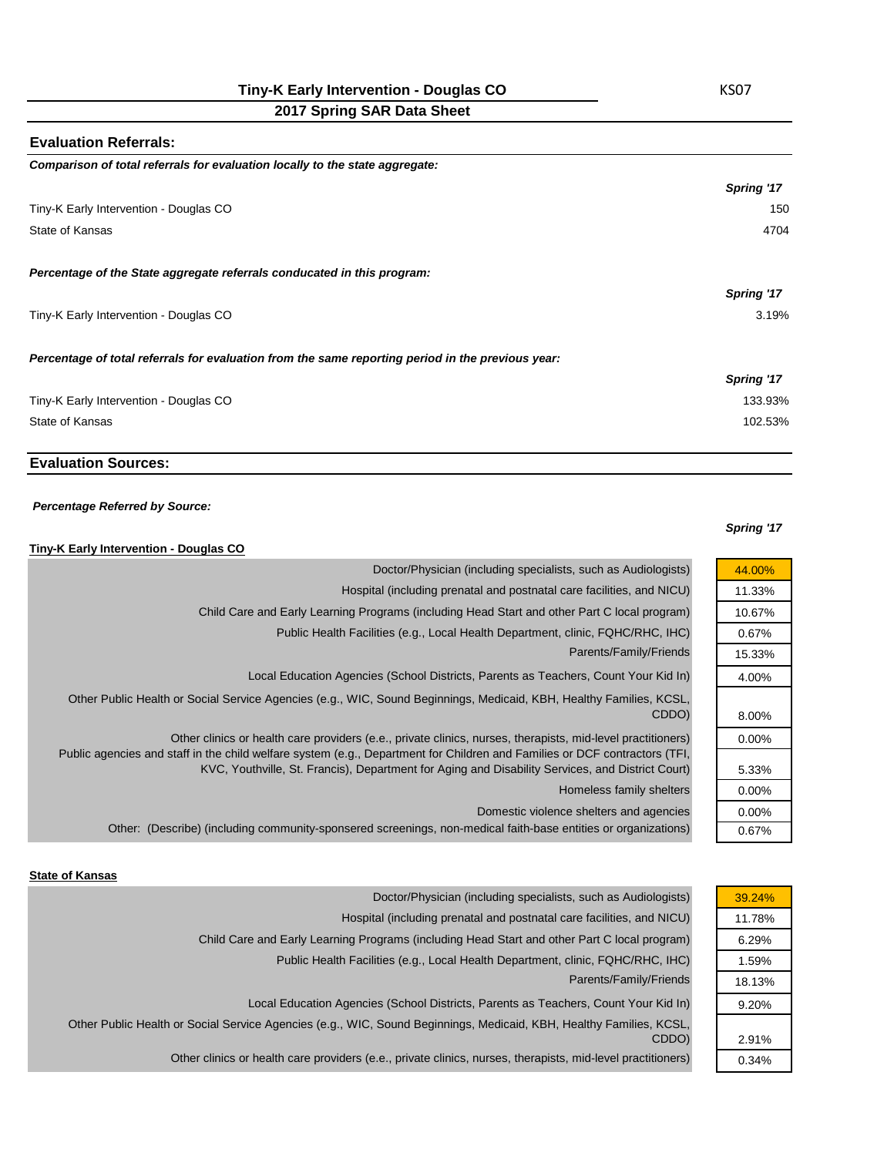**2017 Spring SAR Data Sheet**

# **Evaluation Referrals:** *Comparison of total referrals for evaluation locally to the state aggregate: Spring '17* Tiny-K Early Intervention - Douglas CO 150 State of Kansas 4704 *Percentage of the State aggregate referrals conducated in this program: Spring '17* Tiny-K Early Intervention - Douglas CO 3.19% *Percentage of total referrals for evaluation from the same reporting period in the previous year: Spring '17* Tiny-K Early Intervention - Douglas CO 133.93% State of Kansas 102.53%

## **Evaluation Sources:**

#### *Percentage Referred by Source:*

## **Tiny-K Early Intervention - Douglas CO**

|          | $, \ldots$ Larry much ventuon boagias oo                                                                                                                                                                                       |
|----------|--------------------------------------------------------------------------------------------------------------------------------------------------------------------------------------------------------------------------------|
| 44.00%   | Doctor/Physician (including specialists, such as Audiologists)                                                                                                                                                                 |
| 11.33%   | Hospital (including prenatal and postnatal care facilities, and NICU)                                                                                                                                                          |
| 10.67%   | Child Care and Early Learning Programs (including Head Start and other Part C local program)                                                                                                                                   |
| 0.67%    | Public Health Facilities (e.g., Local Health Department, clinic, FQHC/RHC, IHC)                                                                                                                                                |
| 15.33%   | Parents/Family/Friends                                                                                                                                                                                                         |
| 4.00%    | Local Education Agencies (School Districts, Parents as Teachers, Count Your Kid In)                                                                                                                                            |
| 8.00%    | Other Public Health or Social Service Agencies (e.g., WIC, Sound Beginnings, Medicaid, KBH, Healthy Families, KCSL,<br>CDDO)                                                                                                   |
| $0.00\%$ | Other clinics or health care providers (e.e., private clinics, nurses, therapists, mid-level practitioners)                                                                                                                    |
| 5.33%    | Public agencies and staff in the child welfare system (e.g., Department for Children and Families or DCF contractors (TFI,<br>KVC, Youthville, St. Francis), Department for Aging and Disability Services, and District Court) |
| $0.00\%$ | Homeless family shelters                                                                                                                                                                                                       |
| $0.00\%$ | Domestic violence shelters and agencies                                                                                                                                                                                        |
| 0.67%    | Other: (Describe) (including community-sponsered screenings, non-medical faith-base entities or organizations)                                                                                                                 |
|          |                                                                                                                                                                                                                                |

#### **State of Kansas**

| Doctor/Physician (including specialists, such as Audiologists)                                                      | 39.24% |
|---------------------------------------------------------------------------------------------------------------------|--------|
| Hospital (including prenatal and postnatal care facilities, and NICU)                                               | 11.78% |
| Child Care and Early Learning Programs (including Head Start and other Part C local program)                        | 6.29%  |
| Public Health Facilities (e.g., Local Health Department, clinic, FQHC/RHC, IHC)                                     | 1.59%  |
| Parents/Family/Friends                                                                                              | 18.13% |
| Local Education Agencies (School Districts, Parents as Teachers, Count Your Kid In)                                 | 9.20%  |
| Other Public Health or Social Service Agencies (e.g., WIC, Sound Beginnings, Medicaid, KBH, Healthy Families, KCSL, |        |
| CDDO)                                                                                                               | 2.91%  |
| Other clinics or health care providers (e.e., private clinics, nurses, therapists, mid-level practitioners)         | 0.34%  |

#### *Spring '17*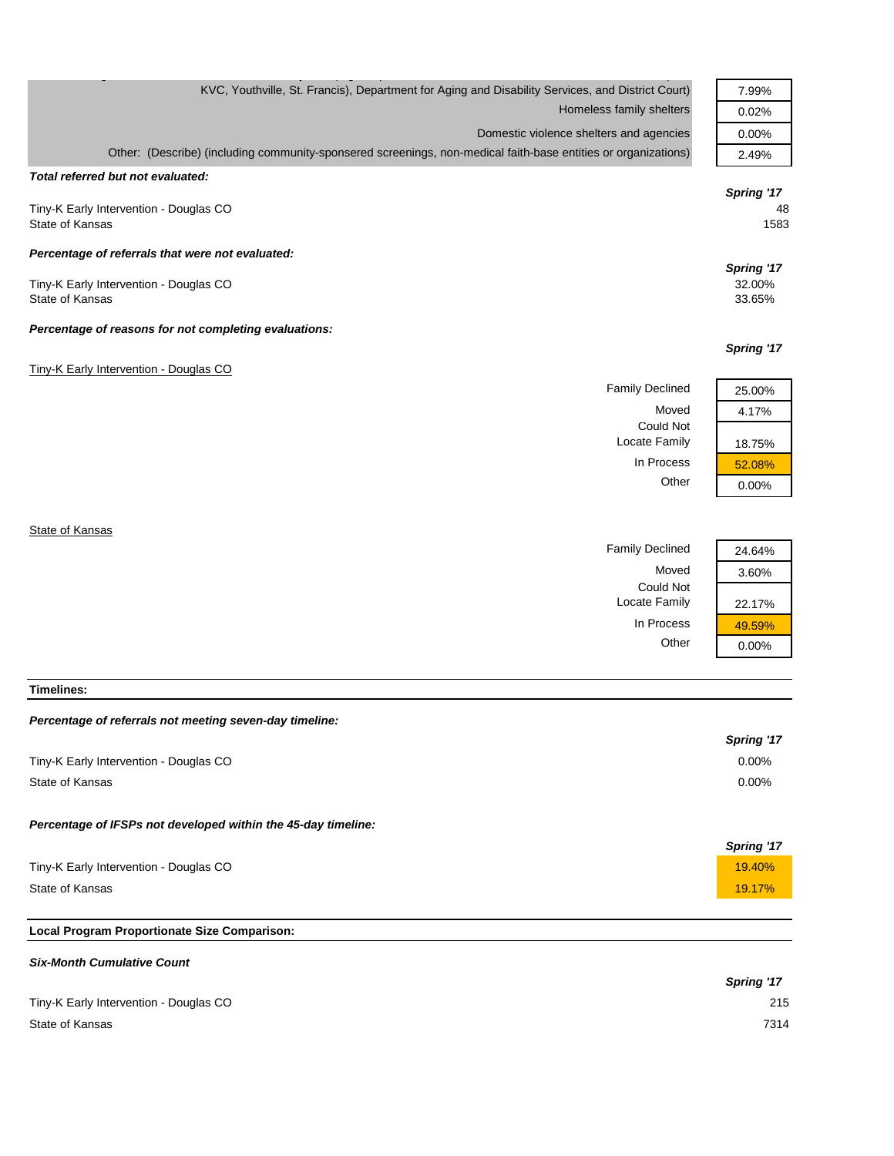| KVC, Youthville, St. Francis), Department for Aging and Disability Services, and District Court)               | 7.99%      |
|----------------------------------------------------------------------------------------------------------------|------------|
| Homeless family shelters                                                                                       | 0.02%      |
| Domestic violence shelters and agencies                                                                        | 0.00%      |
| Other: (Describe) (including community-sponsered screenings, non-medical faith-base entities or organizations) | 2.49%      |
| Total referred but not evaluated:                                                                              |            |
|                                                                                                                | Spring '17 |
| Tiny-K Early Intervention - Douglas CO                                                                         | 48         |
| State of Kansas                                                                                                | 1583       |
| Percentage of referrals that were not evaluated:                                                               |            |
|                                                                                                                | Spring '17 |
| Tiny-K Early Intervention - Douglas CO                                                                         | 32.00%     |
| State of Kansas                                                                                                | 33.65%     |
| Percentage of reasons for not completing evaluations:                                                          |            |
|                                                                                                                | Spring '17 |
| Tiny-K Early Intervention - Douglas CO                                                                         |            |
| <b>Family Declined</b>                                                                                         | 25.00%     |
| Moved                                                                                                          | 4.17%      |
| <b>Could Not</b>                                                                                               |            |
| Locate Family                                                                                                  | 18.75%     |
| In Process                                                                                                     | 52.08%     |

State of Kansas

Family Declined

| 24.64%   |
|----------|
| 3.60%    |
|          |
| 22.17%   |
| 49.59%   |
| $0.00\%$ |

Other 0.00%

Moved Could Not Locate Family In Process Other

**Timelines:**

## *Percentage of referrals not meeting seven-day timeline:*

|                                                               | Spring '17 |
|---------------------------------------------------------------|------------|
| Tiny-K Early Intervention - Douglas CO                        | $0.00\%$   |
| State of Kansas                                               | $0.00\%$   |
| Percentage of IFSPs not developed within the 45-day timeline: |            |
|                                                               | Spring '17 |
| Tiny-K Early Intervention - Douglas CO                        | 19.40%     |
| State of Kansas                                               | 19.17%     |

## **Local Program Proportionate Size Comparison:**

### *Six-Month Cumulative Count*

|                                        | Spring '17 |
|----------------------------------------|------------|
| Tiny-K Early Intervention - Douglas CO | 215        |
| State of Kansas                        | 7314       |